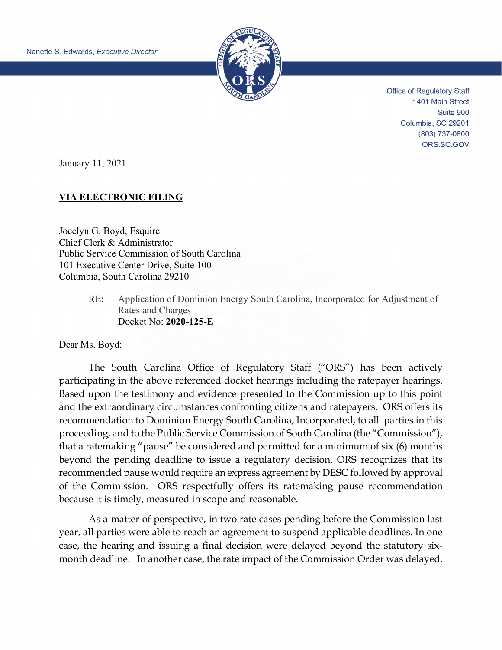

Office of Regulatory Staff 1401 Main Street Suite 900 Columbia, SC 29201 (803) 737-0800 ORS.SC.GOV

January 11, 2021

## **VIA ELECTRONIC FILING**

Jocelyn G. Boyd, Esquire Chief Clerk & Administrator Public Service Commission of South Carolina 101 Executive Center Drive, Suite 100 Columbia, South Carolina 29210

> RE: Application of Dominion Energy South Carolina, Incorporated for Adjustment of Rates and Charges Docket No: **2020-125-E**

Dear Ms. Boyd:

The South Carolina Office of Regulatory Staff ("ORS") has been actively participating in the above referenced docket hearings including the ratepayer hearings. Based upon the testimony and evidence presented to the Commission up to this point and the extraordinary circumstances confronting citizens and ratepayers, ORS offers its recommendation to Dominion Energy South Carolina, Incorporated, to all parties in this proceeding, and to the Public Service Commission of South Carolina (the "Commission"), that a ratemaking "pause" be considered and permitted for a minimum of six (6) months beyond the pending deadline to issue a regulatory decision. ORS recognizes that its recommended pause would require an express agreement by DESC followed by approval of the Commission. ORS respectfully offers its ratemaking pause recommendation because it is timely, measured in scope and reasonable.

As a matter of perspective, in two rate cases pending before the Commission last year, all parties were able to reach an agreement to suspend applicable deadlines. In one case, the hearing and issuing a final decision were delayed beyond the statutory sixmonth deadline. In another case, the rate impact of the Commission Order was delayed.